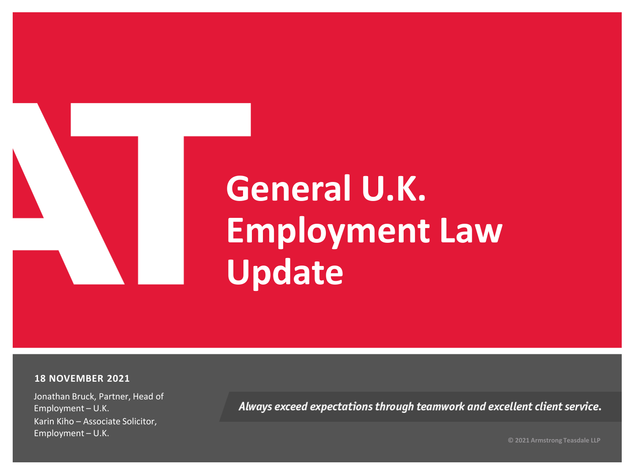# **General U.K. Employment Law Update**

#### **18 NOVEMBER 2021**

Jonathan Bruck, Partner, Head of Employment – U.K. Karin Kiho – Associate Solicitor, Employment – U.K.

Always exceed expectations through teamwork and excellent client service.

**© 2021 Armstrong Teasdale LLP**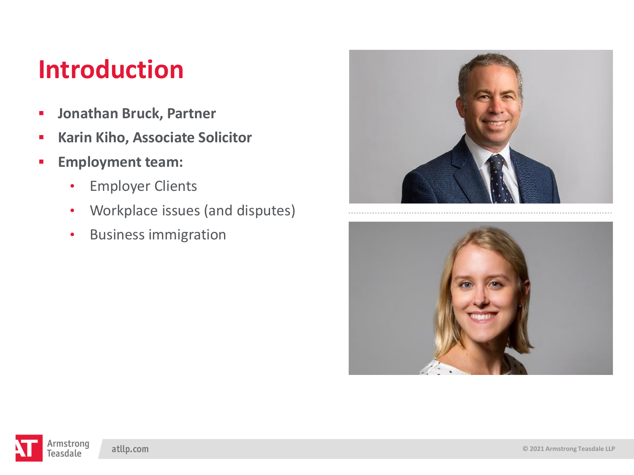### **Introduction**

- **Jonathan Bruck, Partner**
- **Karin Kiho, Associate Solicitor**
- **Employment team:**
	- Employer Clients
	- Workplace issues (and disputes)
	- Business immigration



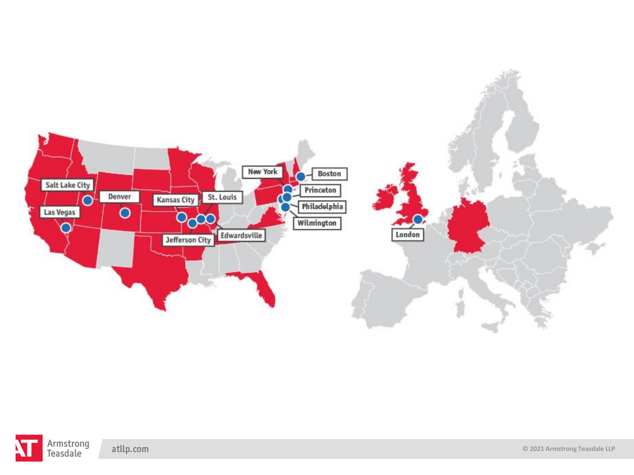

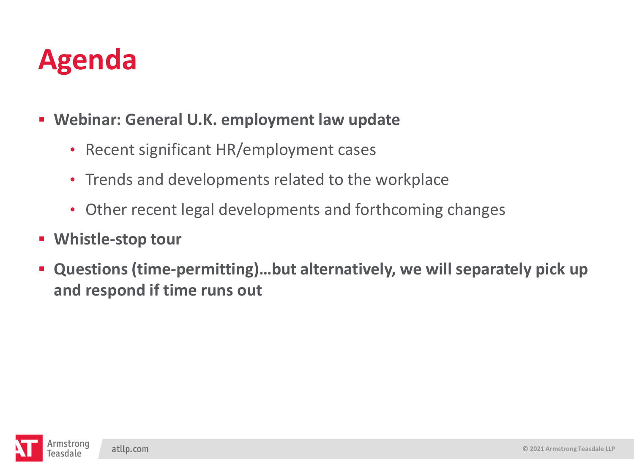## **Agenda**

- **Webinar: General U.K. employment law update**
	- Recent significant HR/employment cases
	- Trends and developments related to the workplace
	- Other recent legal developments and forthcoming changes
- **Whistle-stop tour**
- **Questions (time-permitting)…but alternatively, we will separately pick up and respond if time runs out**

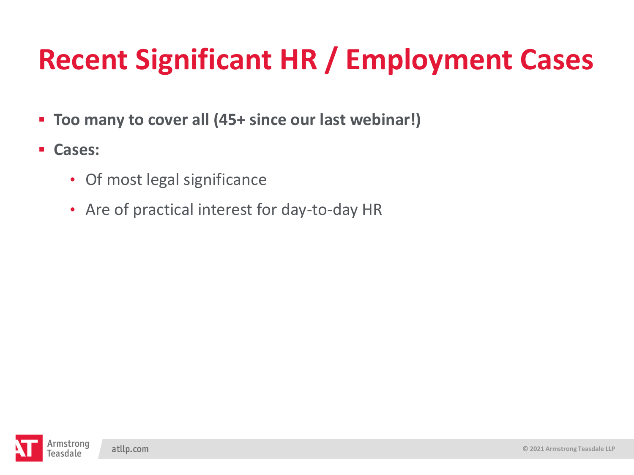- **Too many to cover all (45+ since our last webinar!)**
- **Cases:** 
	- Of most legal significance
	- Are of practical interest for day-to-day HR

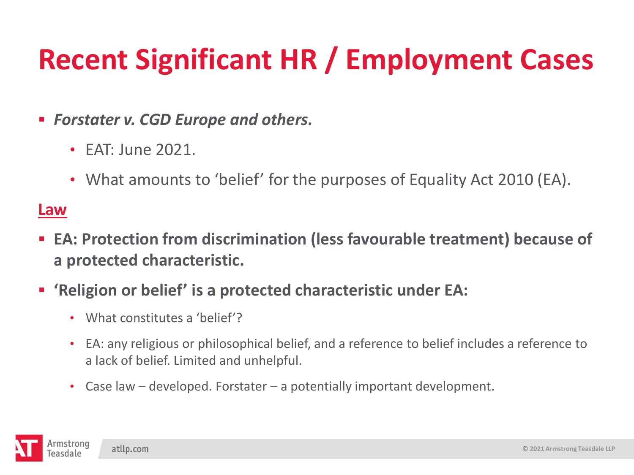- *Forstater v. CGD Europe and others.*
	- EAT: June 2021.
	- What amounts to 'belief' for the purposes of Equality Act 2010 (EA).

#### **Law**

- EA: Protection from discrimination (less favourable treatment) because of **a protected characteristic.**
- **'Religion or belief' is a protected characteristic under EA:** 
	- What constitutes a 'belief'?
	- EA: any religious or philosophical belief, and a reference to belief includes a reference to a lack of belief. Limited and unhelpful.
	- Case law developed. Forstater a potentially important development.

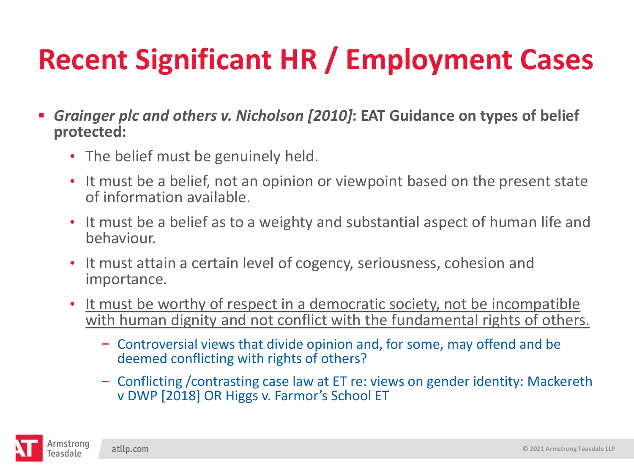- *Grainger plc and others v. Nicholson [2010]***: EAT Guidance on types of belief protected:**
	- The belief must be genuinely held.
	- It must be a belief, not an opinion or viewpoint based on the present state of information available.
	- It must be a belief as to a weighty and substantial aspect of human life and behaviour.
	- It must attain a certain level of cogency, seriousness, cohesion and importance.
	- It must be worthy of respect in a democratic society, not be incompatible with human dignity and not conflict with the fundamental rights of others.
		- Controversial views that divide opinion and, for some, may offend and be deemed conflicting with rights of others?
		- Conflicting /contrasting case law at ET re: views on gender identity: Mackereth v DWP [2018] OR Higgs v. Farmor's School ET

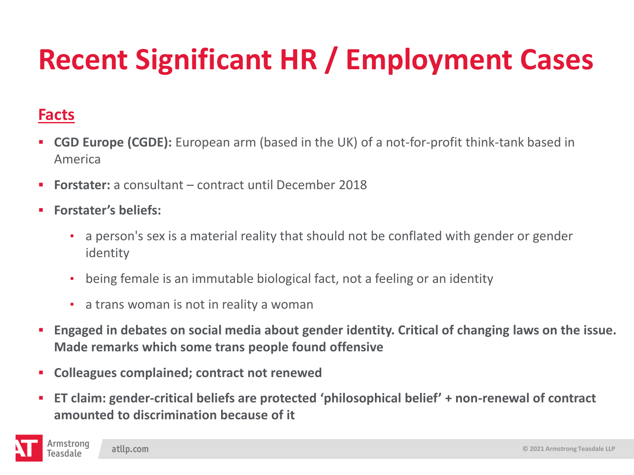#### **Facts**

- **CGD Europe (CGDE):** European arm (based in the UK) of a not-for-profit think-tank based in America
- **Forstater:** a consultant contract until December 2018
- **Forstater's beliefs:** 
	- a person's sex is a material reality that should not be conflated with gender or gender identity
	- being female is an immutable biological fact, not a feeling or an identity
	- a trans woman is not in reality a woman
- **Engaged in debates on social media about gender identity. Critical of changing laws on the issue. Made remarks which some trans people found offensive**
- **Colleagues complained; contract not renewed**
- **ET claim: gender-critical beliefs are protected 'philosophical belief' + non-renewal of contract amounted to discrimination because of it**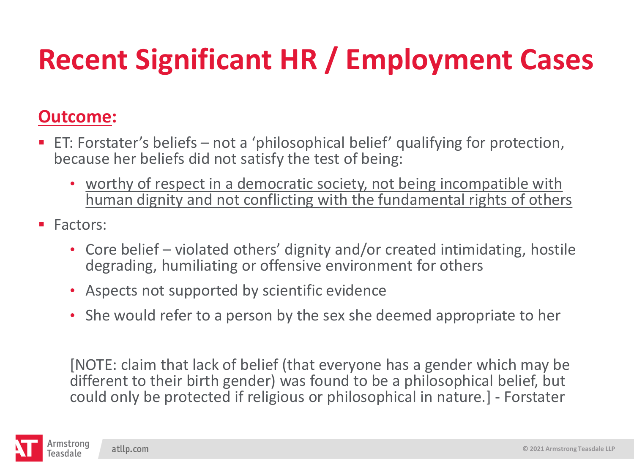#### **Outcome:**

- ET: Forstater's beliefs not a 'philosophical belief' qualifying for protection, because her beliefs did not satisfy the test of being:
	- worthy of respect in a democratic society, not being incompatible with human dignity and not conflicting with the fundamental rights of others
- Factors:
	- Core belief violated others' dignity and/or created intimidating, hostile degrading, humiliating or offensive environment for others
	- Aspects not supported by scientific evidence
	- She would refer to a person by the sex she deemed appropriate to her

[NOTE: claim that lack of belief (that everyone has a gender which may be different to their birth gender) was found to be a philosophical belief, but could only be protected if religious or philosophical in nature.] - Forstater

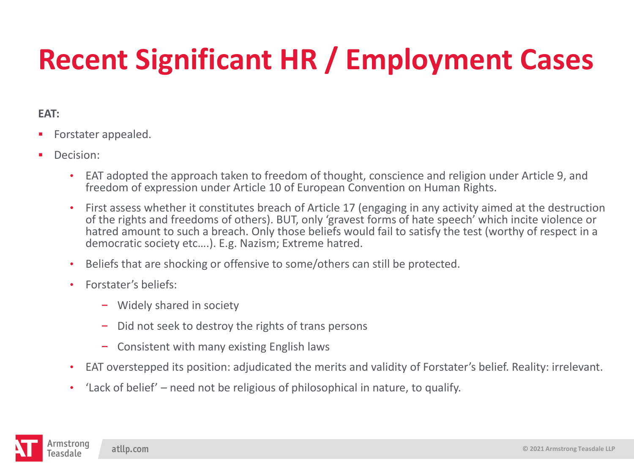#### **EAT:**

- **•** Forstater appealed.
- **•** Decision:
	- EAT adopted the approach taken to freedom of thought, conscience and religion under Article 9, and freedom of expression under Article 10 of European Convention on Human Rights.
	- First assess whether it constitutes breach of Article 17 (engaging in any activity aimed at the destruction of the rights and freedoms of others). BUT, only 'gravest forms of hate speech' which incite violence or hatred amount to such a breach. Only those beliefs would fail to satisfy the test (worthy of respect in a democratic society etc….). E.g. Nazism; Extreme hatred.
	- Beliefs that are shocking or offensive to some/others can still be protected.
	- Forstater's beliefs:
		- Widely shared in society
		- Did not seek to destroy the rights of trans persons  $\sim$
		- Consistent with many existing English laws
	- EAT overstepped its position: adjudicated the merits and validity of Forstater's belief. Reality: irrelevant.
	- 'Lack of belief' need not be religious of philosophical in nature, to qualify.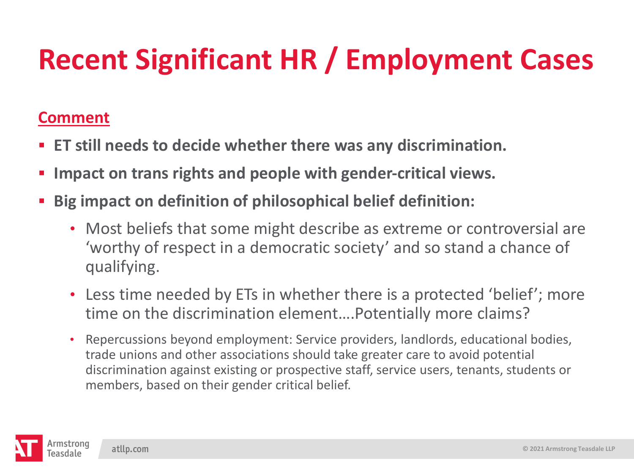#### **Comment**

- **ET still needs to decide whether there was any discrimination.**
- **EXECT:** Impact on trans rights and people with gender-critical views.
- **Big impact on definition of philosophical belief definition:** 
	- Most beliefs that some might describe as extreme or controversial are 'worthy of respect in a democratic society' and so stand a chance of qualifying.
	- Less time needed by ETs in whether there is a protected 'belief'; more time on the discrimination element….Potentially more claims?
	- Repercussions beyond employment: Service providers, landlords, educational bodies, trade unions and other associations should take greater care to avoid potential discrimination against existing or prospective staff, service users, tenants, students or members, based on their gender critical belief.

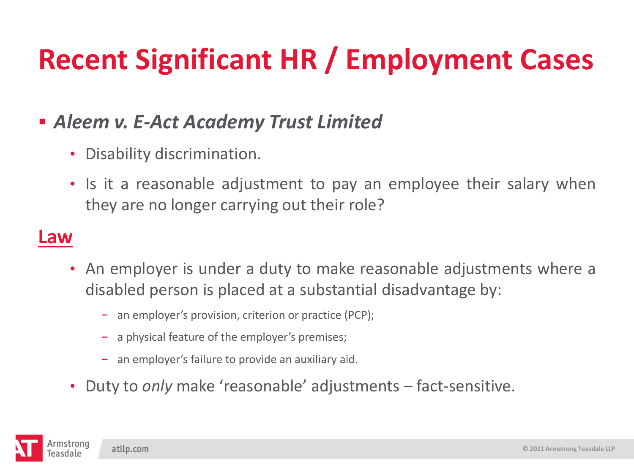### ▪ *Aleem v. E-Act Academy Trust Limited*

- Disability discrimination.
- Is it a reasonable adjustment to pay an employee their salary when they are no longer carrying out their role?

#### **Law**

- An employer is under a duty to make reasonable adjustments where a disabled person is placed at a substantial disadvantage by:
	- an employer's provision, criterion or practice (PCP);
	- a physical feature of the employer's premises;
	- an employer's failure to provide an auxiliary aid.
- Duty to *only* make 'reasonable' adjustments fact-sensitive.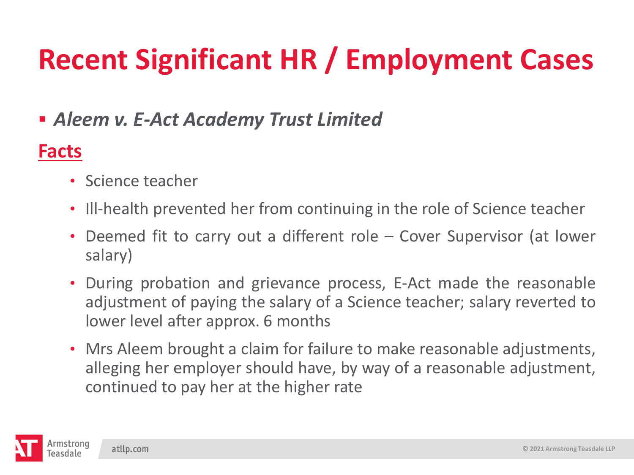### ▪ *Aleem v. E-Act Academy Trust Limited*

### **Facts**

- Science teacher
- Ill-health prevented her from continuing in the role of Science teacher
- Deemed fit to carry out a different role Cover Supervisor (at lower salary)
- During probation and grievance process, E-Act made the reasonable adjustment of paying the salary of a Science teacher; salary reverted to lower level after approx. 6 months
- Mrs Aleem brought a claim for failure to make reasonable adjustments, alleging her employer should have, by way of a reasonable adjustment, continued to pay her at the higher rate

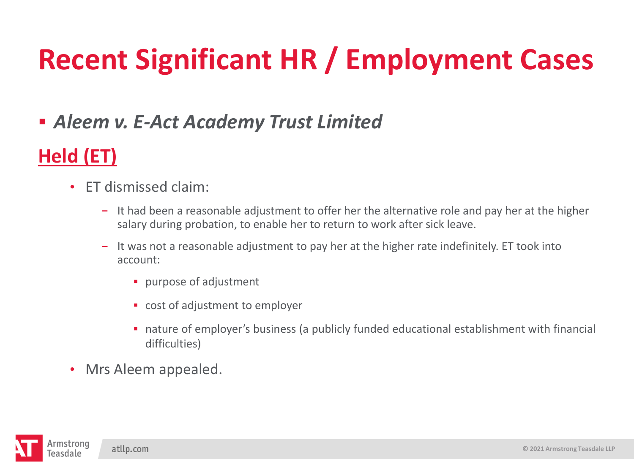### ▪ *Aleem v. E-Act Academy Trust Limited*

### **Held (ET)**

- ET dismissed claim:
	- $-$  It had been a reasonable adjustment to offer her the alternative role and pay her at the higher salary during probation, to enable her to return to work after sick leave.
	- It was not a reasonable adjustment to pay her at the higher rate indefinitely. ET took into account:
		- **·** purpose of adjustment
		- cost of adjustment to employer
		- nature of employer's business (a publicly funded educational establishment with financial difficulties)
- Mrs Aleem appealed.

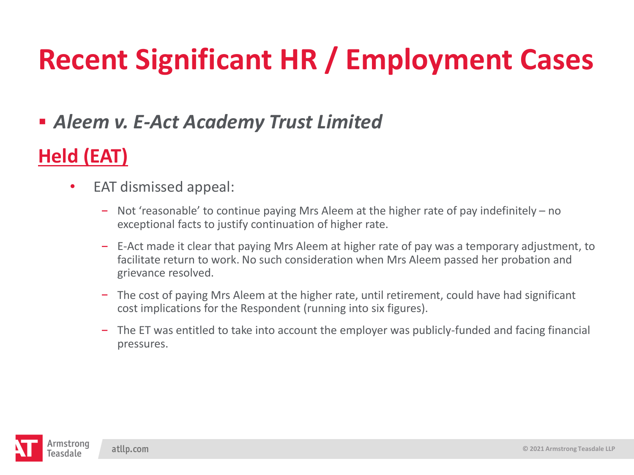### ▪ *Aleem v. E-Act Academy Trust Limited*

### **Held (EAT)**

- EAT dismissed appeal:
	- Not 'reasonable' to continue paying Mrs Aleem at the higher rate of pay indefinitely no  $\overline{\phantom{m}}$ exceptional facts to justify continuation of higher rate.
	- E-Act made it clear that paying Mrs Aleem at higher rate of pay was a temporary adjustment, to facilitate return to work. No such consideration when Mrs Aleem passed her probation and grievance resolved.
	- The cost of paying Mrs Aleem at the higher rate, until retirement, could have had significant cost implications for the Respondent (running into six figures).
	- The ET was entitled to take into account the employer was publicly-funded and facing financial pressures.

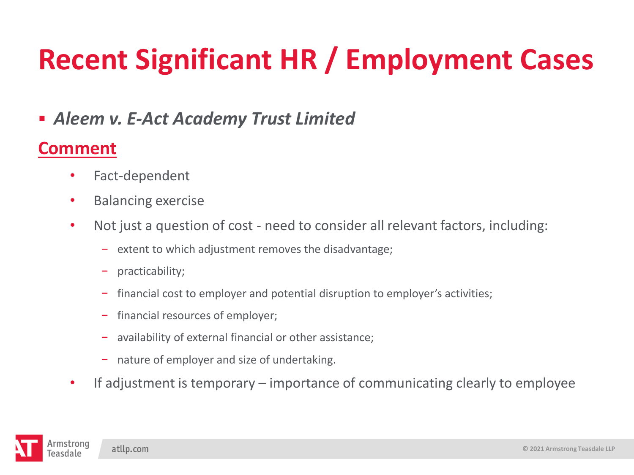▪ *Aleem v. E-Act Academy Trust Limited*

### **Comment**

- Fact-dependent
- Balancing exercise
- Not just a question of cost need to consider all relevant factors, including:
	- $\overline{e}$  extent to which adjustment removes the disadvantage;
	- practicability;
	- financial cost to employer and potential disruption to employer's activities;
	- financial resources of employer;
	- availability of external financial or other assistance;  $\frac{1}{2}$
	- nature of employer and size of undertaking.
- If adjustment is temporary importance of communicating clearly to employee

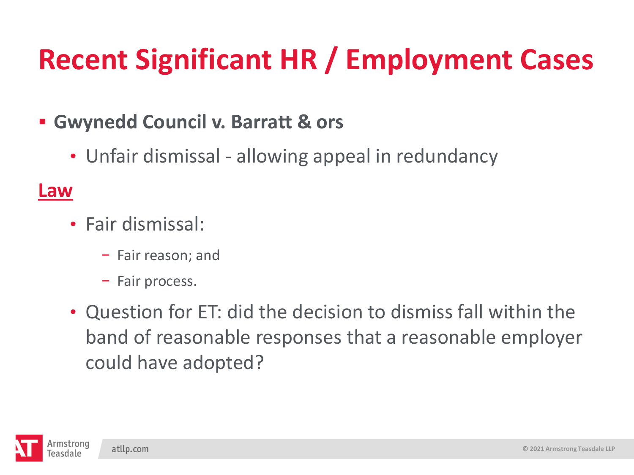### ▪ **Gwynedd Council v. Barratt & ors**

• Unfair dismissal - allowing appeal in redundancy

#### **Law**

- Fair dismissal:
	- $-$  Fair reason; and
	- Fair process.
- Question for ET: did the decision to dismiss fall within the band of reasonable responses that a reasonable employer could have adopted?

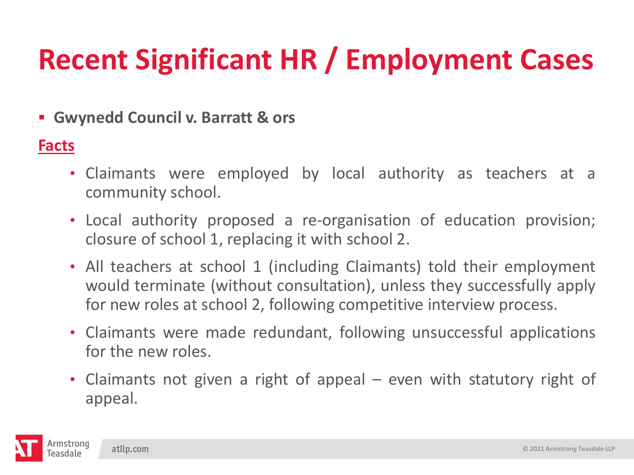▪ **Gwynedd Council v. Barratt & ors**

#### **Facts**

- Claimants were employed by local authority as teachers at a community school.
- Local authority proposed a re-organisation of education provision; closure of school 1, replacing it with school 2.
- All teachers at school 1 (including Claimants) told their employment would terminate (without consultation), unless they successfully apply for new roles at school 2, following competitive interview process.
- Claimants were made redundant, following unsuccessful applications for the new roles.
- Claimants not given a right of appeal even with statutory right of appeal.

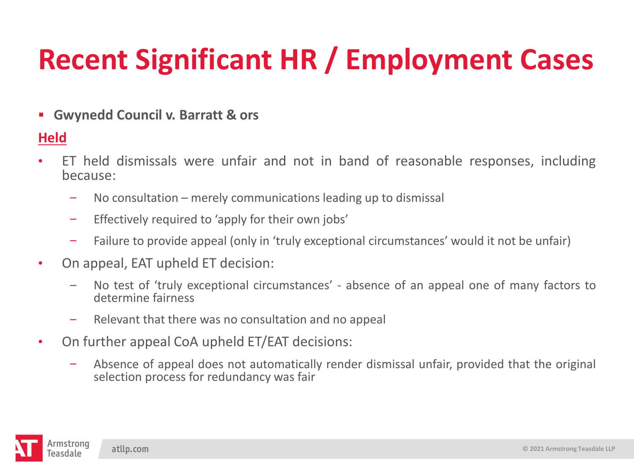▪ **Gwynedd Council v. Barratt & ors**

#### **Held**

- ET held dismissals were unfair and not in band of reasonable responses, including because:
	- No consultation merely communications leading up to dismissal  $\overline{\phantom{m}}$
	- Effectively required to 'apply for their own jobs'  $\overline{\phantom{m}}$
	- Failure to provide appeal (only in 'truly exceptional circumstances' would it not be unfair)  $\overline{\phantom{m}}$
- On appeal, EAT upheld ET decision:
	- No test of 'truly exceptional circumstances' absence of an appeal one of many factors to determine fairness
	- Relevant that there was no consultation and no appeal  $\overline{\phantom{m}}$
- On further appeal CoA upheld ET/EAT decisions:
	- Absence of appeal does not automatically render dismissal unfair, provided that the original  $\overline{\phantom{m}}$ selection process for redundancy was fair

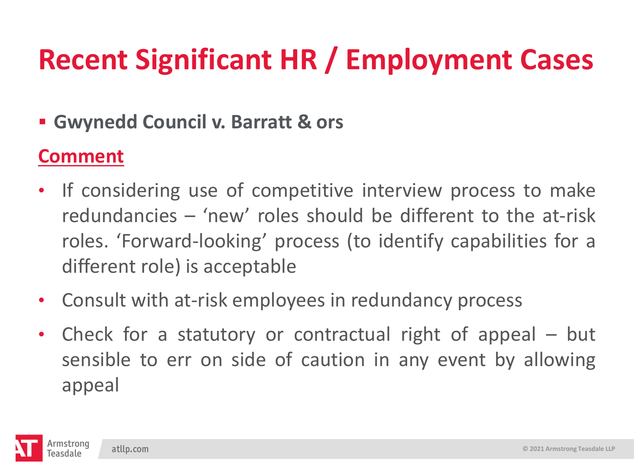### ▪ **Gwynedd Council v. Barratt & ors**

### **Comment**

- If considering use of competitive interview process to make redundancies – 'new' roles should be different to the at-risk roles. 'Forward-looking' process (to identify capabilities for a different role) is acceptable
- Consult with at-risk employees in redundancy process
- Check for a statutory or contractual right of appeal but sensible to err on side of caution in any event by allowing appeal

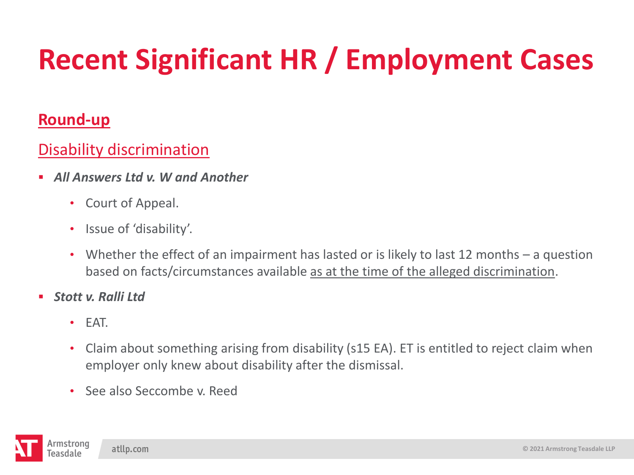#### **Round-up**

#### Disability discrimination

- *All Answers Ltd v. W and Another*
	- Court of Appeal.
	- Issue of 'disability'.
	- Whether the effect of an impairment has lasted or is likely to last 12 months a question based on facts/circumstances available as at the time of the alleged discrimination.
- *Stott v. Ralli Ltd*
	- EAT.
	- Claim about something arising from disability (s15 EA). ET is entitled to reject claim when employer only knew about disability after the dismissal.
	- See also Seccombe v. Reed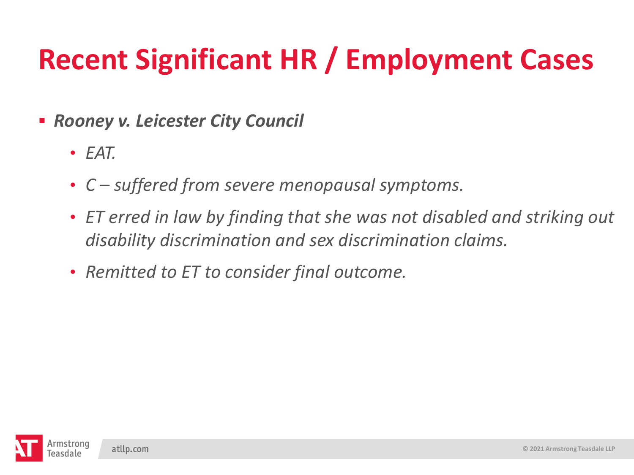■ *Rooney v. Leicester City Council* 

- *EAT.*
- *C – suffered from severe menopausal symptoms.*
- *ET erred in law by finding that she was not disabled and striking out disability discrimination and sex discrimination claims.*
- *Remitted to ET to consider final outcome.*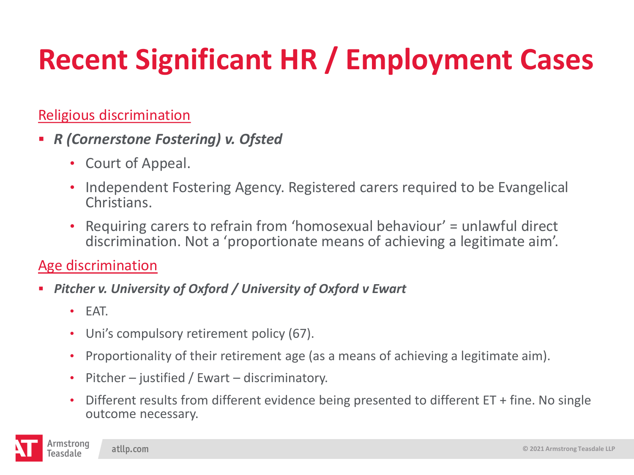#### Religious discrimination

- *R (Cornerstone Fostering) v. Ofsted*
	- Court of Appeal.
	- Independent Fostering Agency. Registered carers required to be Evangelical Christians.
	- Requiring carers to refrain from 'homosexual behaviour' = unlawful direct discrimination. Not a 'proportionate means of achieving a legitimate aim'.

#### Age discrimination

- *Pitcher v. University of Oxford / University of Oxford v Ewart*
	- EAT.
	- Uni's compulsory retirement policy (67).
	- Proportionality of their retirement age (as a means of achieving a legitimate aim).
	- Pitcher justified / Ewart discriminatory.
	- Different results from different evidence being presented to different ET + fine. No single outcome necessary.

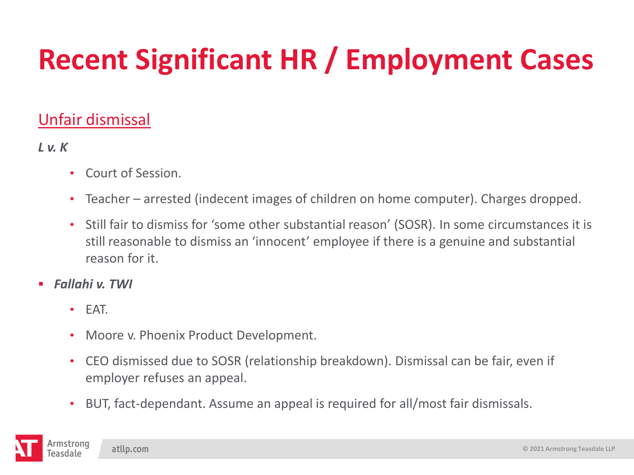#### Unfair dismissal

#### *L v. K*

- Court of Session.
- Teacher arrested (indecent images of children on home computer). Charges dropped.
- Still fair to dismiss for 'some other substantial reason' (SOSR). In some circumstances it is still reasonable to dismiss an 'innocent' employee if there is a genuine and substantial reason for it.
- *Fallahi v. TWI*
	- EAT.
	- Moore v. Phoenix Product Development.
	- CEO dismissed due to SOSR (relationship breakdown). Dismissal can be fair, even if employer refuses an appeal.
	- BUT, fact-dependant. Assume an appeal is required for all/most fair dismissals.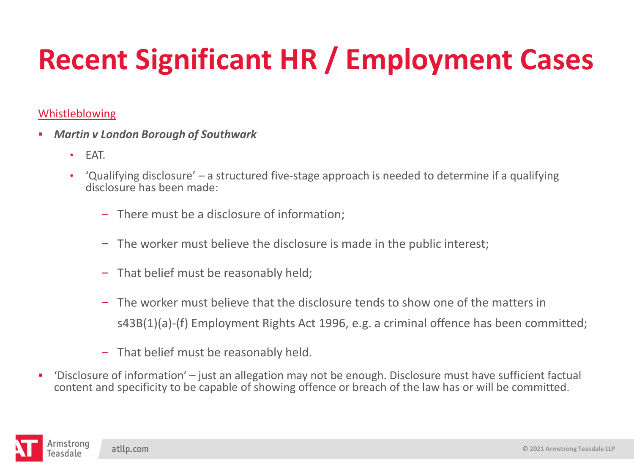#### Whistleblowing

- *Martin v London Borough of Southwark*
	- EAT.
	- 'Qualifying disclosure' a structured five-stage approach is needed to determine if a qualifying disclosure has been made:
		- There must be a disclosure of information;
		- The worker must believe the disclosure is made in the public interest;
		- $-$  That belief must be reasonably held;
		- The worker must believe that the disclosure tends to show one of the matters in s43B(1)(a)-(f) Employment Rights Act 1996, e.g. a criminal offence has been committed;
		- $-$  That belief must be reasonably held.
- 'Disclosure of information' just an allegation may not be enough. Disclosure must have sufficient factual content and specificity to be capable of showing offence or breach of the law has or will be committed.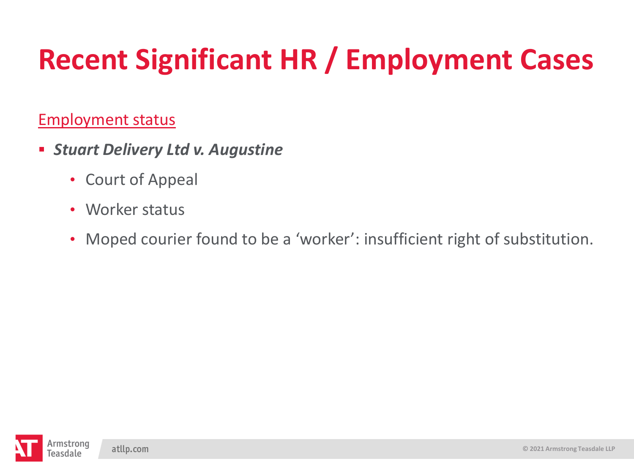#### Employment status

- *Stuart Delivery Ltd v. Augustine*
	- Court of Appeal
	- Worker status
	- Moped courier found to be a 'worker': insufficient right of substitution.

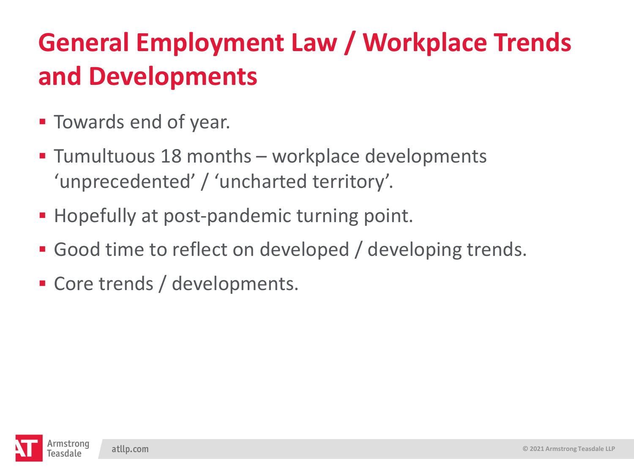- **E** Towards end of year.
- Tumultuous 18 months workplace developments 'unprecedented' / 'uncharted territory'.
- Hopefully at post-pandemic turning point.
- **Good time to reflect on developed / developing trends.**
- Core trends / developments.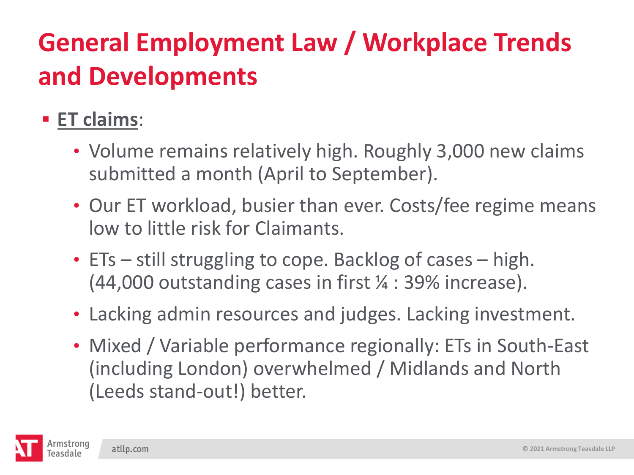### ▪ **ET claims**:

- Volume remains relatively high. Roughly 3,000 new claims submitted a month (April to September).
- Our ET workload, busier than ever. Costs/fee regime means low to little risk for Claimants.
- ETs still struggling to cope. Backlog of cases high. (44,000 outstanding cases in first ¼ : 39% increase).
- Lacking admin resources and judges. Lacking investment.
- Mixed / Variable performance regionally: ETs in South-East (including London) overwhelmed / Midlands and North (Leeds stand-out!) better.

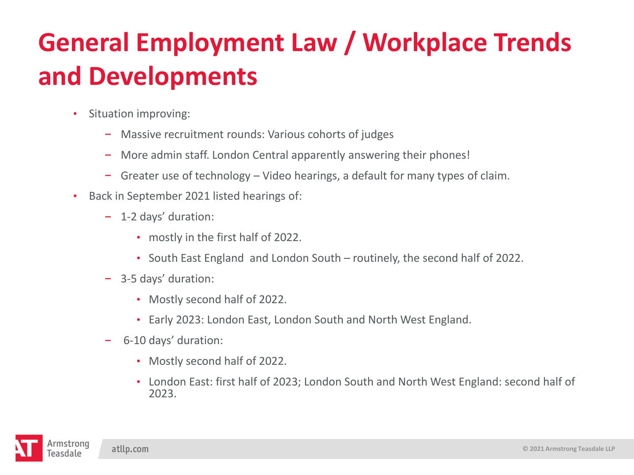- Situation improving:
	- Massive recruitment rounds: Various cohorts of judges  $\overline{\phantom{m}}$
	- More admin staff. London Central apparently answering their phones!  $\overline{\phantom{a}}$
	- Greater use of technology Video hearings, a default for many types of claim.
- Back in September 2021 listed hearings of:
	- 1-2 days' duration:
		- mostly in the first half of 2022.
		- South East England and London South routinely, the second half of 2022.
	- 3-5 days' duration:
		- Mostly second half of 2022.
		- Early 2023: London East, London South and North West England.
	- 6-10 days' duration:
		- Mostly second half of 2022.
		- London East: first half of 2023; London South and North West England: second half of 2023.

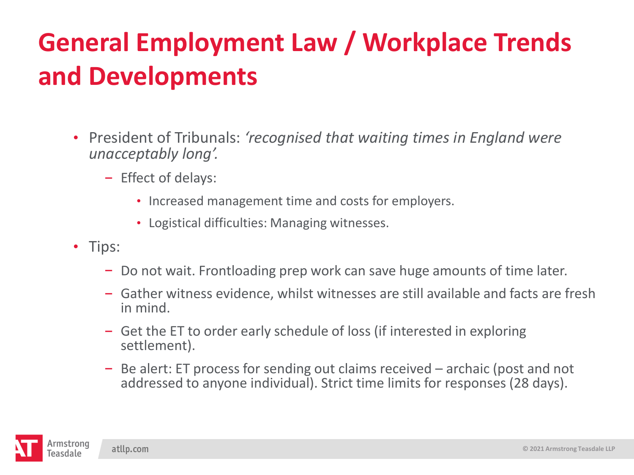- President of Tribunals: *'recognised that waiting times in England were unacceptably long'.*
	- $-$  Effect of delays:
		- Increased management time and costs for employers.
		- Logistical difficulties: Managing witnesses.
- Tips:
	- Do not wait. Frontloading prep work can save huge amounts of time later.
	- Gather witness evidence, whilst witnesses are still available and facts are fresh in mind.
	- Get the ET to order early schedule of loss (if interested in exploring settlement).
	- Be alert: ET process for sending out claims received archaic (post and not addressed to anyone individual). Strict time limits for responses (28 days).

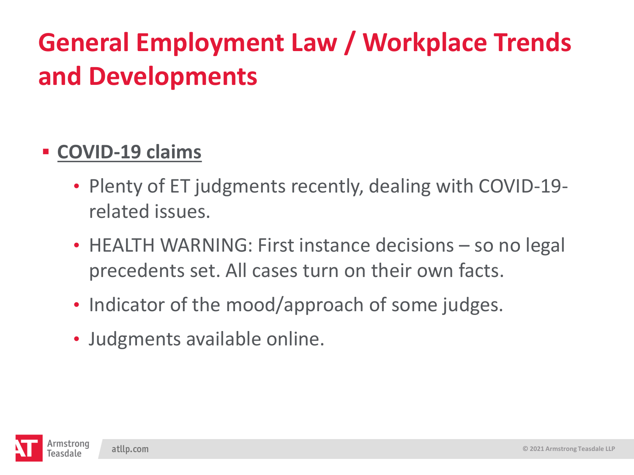### ▪ **COVID-19 claims**

- Plenty of ET judgments recently, dealing with COVID-19 related issues.
- HEALTH WARNING: First instance decisions so no legal precedents set. All cases turn on their own facts.
- Indicator of the mood/approach of some judges.
- Judgments available online.

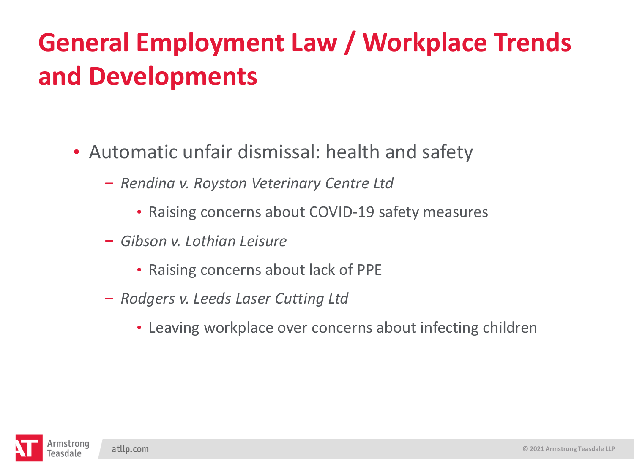- Automatic unfair dismissal: health and safety
	- *Rendina v. Royston Veterinary Centre Ltd*
		- Raising concerns about COVID-19 safety measures
	- *Gibson v. Lothian Leisure*
		- Raising concerns about lack of PPE
	- *Rodgers v. Leeds Laser Cutting Ltd*
		- Leaving workplace over concerns about infecting children

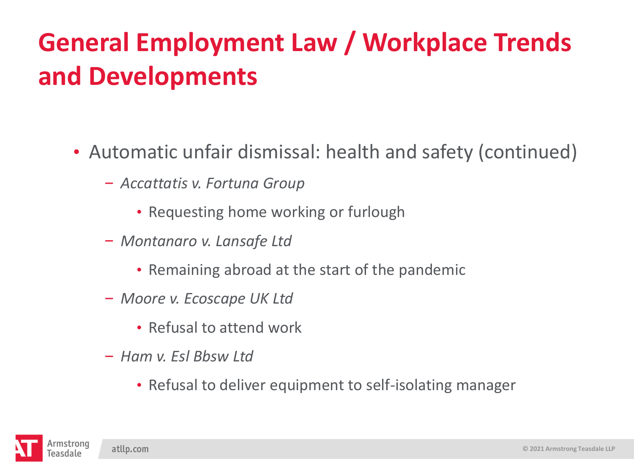- Automatic unfair dismissal: health and safety (continued)
	- *Accattatis v. Fortuna Group*
		- Requesting home working or furlough
	- *Montanaro v. Lansafe Ltd*
		- Remaining abroad at the start of the pandemic
	- *Moore v. Ecoscape UK Ltd*
		- Refusal to attend work
	- *Ham v. Esl Bbsw Ltd*
		- Refusal to deliver equipment to self-isolating manager

atllp.com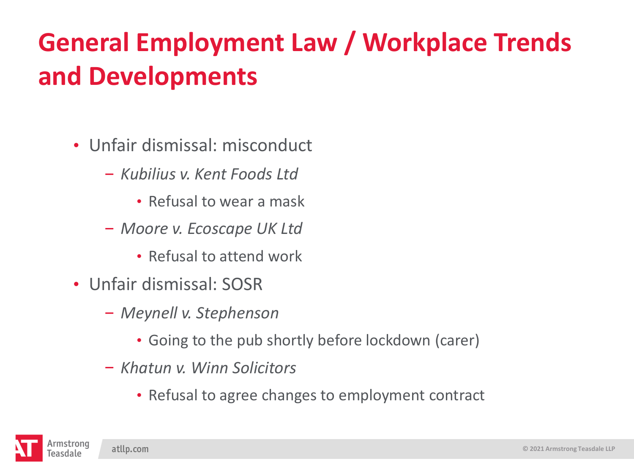- Unfair dismissal: misconduct
	- *Kubilius v. Kent Foods Ltd*
		- Refusal to wear a mask
	- *Moore v. Ecoscape UK Ltd*
		- Refusal to attend work
- Unfair dismissal: SOSR
	- *Meynell v. Stephenson* 
		- Going to the pub shortly before lockdown (carer)
	- *Khatun v. Winn Solicitors* 
		- Refusal to agree changes to employment contract

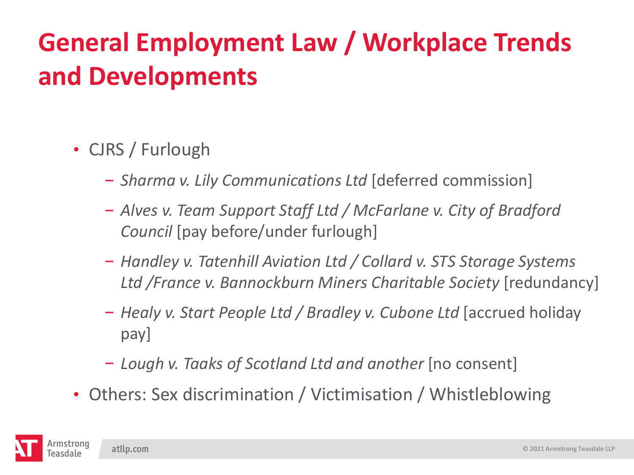- CJRS / Furlough
	- *Sharma v. Lily Communications Ltd* [deferred commission]
	- *Alves v. Team Support Staff Ltd / McFarlane v. City of Bradford Council* [pay before/under furlough]
	- *Handley v. Tatenhill Aviation Ltd / Collard v. STS Storage Systems*  Ltd / France v. Bannockburn Miners Charitable Society [redundancy]
	- *Healy v. Start People Ltd / Bradley v. Cubone Ltd* [accrued holiday pay]
	- *Lough v. Taaks of Scotland Ltd and another* [no consent]
- Others: Sex discrimination / Victimisation / Whistleblowing

atllp.com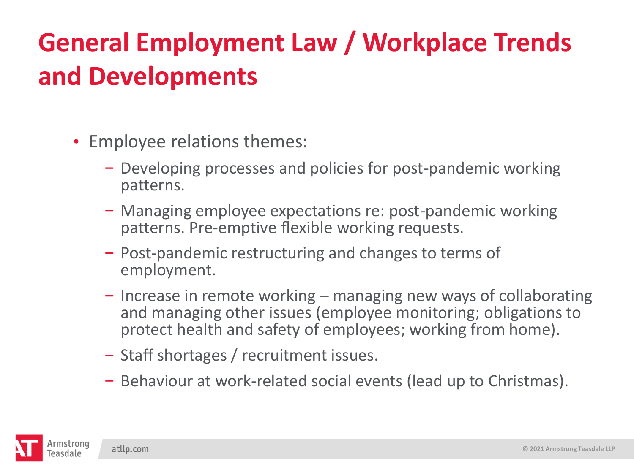- Employee relations themes:
	- Developing processes and policies for post-pandemic working patterns.
	- Managing employee expectations re: post-pandemic working patterns. Pre-emptive flexible working requests.
	- Post-pandemic restructuring and changes to terms of employment.
	- $-$  Increase in remote working  $-$  managing new ways of collaborating and managing other issues (employee monitoring; obligations to protect health and safety of employees; working from home).
	- Staff shortages / recruitment issues.
	- Behaviour at work-related social events (lead up to Christmas).

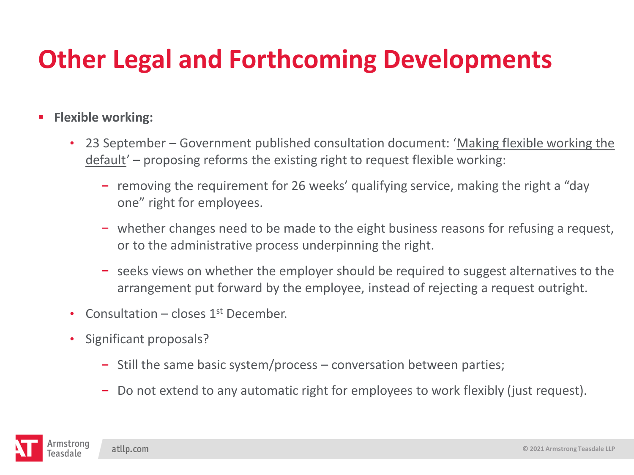#### ▪ **Flexible working:**

- 23 September Government published consultation document: 'Making flexible working the default' – proposing reforms the existing right to request flexible working:
	- $-$  removing the requirement for 26 weeks' qualifying service, making the right a "day" one" right for employees.
	- whether changes need to be made to the eight business reasons for refusing a request, or to the administrative process underpinning the right.
	- $\overline{\phantom{a}}$  seeks views on whether the employer should be required to suggest alternatives to the arrangement put forward by the employee, instead of rejecting a request outright.
- Consultation closes  $1<sup>st</sup>$  December.
- Significant proposals?
	- $-$  Still the same basic system/process conversation between parties;
	- Do not extend to any automatic right for employees to work flexibly (just request).

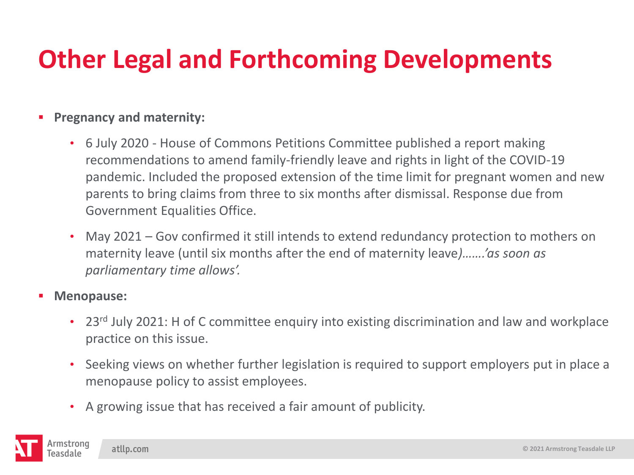#### ▪ **Pregnancy and maternity:**

- 6 July 2020 House of Commons Petitions Committee published a report making recommendations to amend family-friendly leave and rights in light of the COVID-19 pandemic. Included the proposed extension of the time limit for pregnant women and new parents to bring claims from three to six months after dismissal. Response due from Government Equalities Office.
- May 2021 Gov confirmed it still intends to extend redundancy protection to mothers on maternity leave (until six months after the end of maternity leave*)…….'as soon as parliamentary time allows'.*
- **Menopause:**
	- 23<sup>rd</sup> July 2021: H of C committee enquiry into existing discrimination and law and workplace practice on this issue.
	- Seeking views on whether further legislation is required to support employers put in place a menopause policy to assist employees.
	- A growing issue that has received a fair amount of publicity.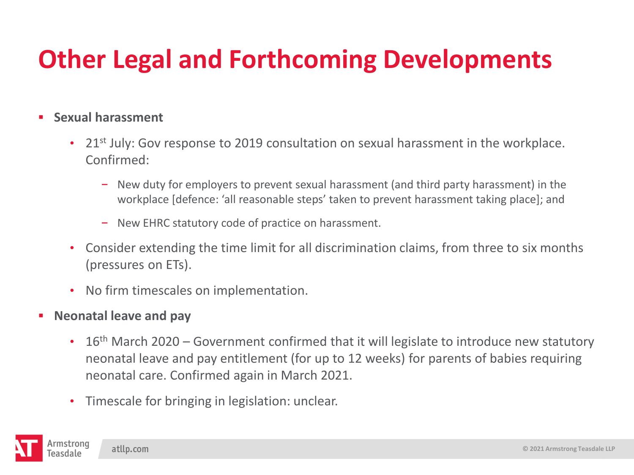#### ▪ **Sexual harassment**

- 21<sup>st</sup> July: Gov response to 2019 consultation on sexual harassment in the workplace. Confirmed:
	- New duty for employers to prevent sexual harassment (and third party harassment) in the workplace [defence: 'all reasonable steps' taken to prevent harassment taking place]; and
	- New EHRC statutory code of practice on harassment.
- Consider extending the time limit for all discrimination claims, from three to six months (pressures on ETs).
- No firm timescales on implementation.
- **Neonatal leave and pay**
	- 16<sup>th</sup> March 2020 Government confirmed that it will legislate to introduce new statutory neonatal leave and pay entitlement (for up to 12 weeks) for parents of babies requiring neonatal care. Confirmed again in March 2021.
	- Timescale for bringing in legislation: unclear.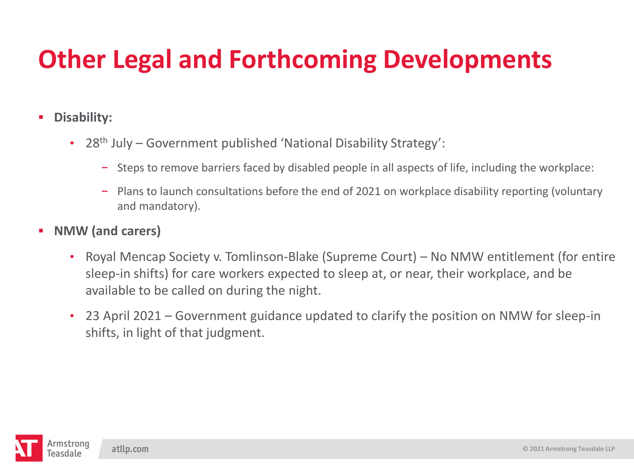#### ▪ **Disability:**

- 28<sup>th</sup> July Government published 'National Disability Strategy':
	- $-$  Steps to remove barriers faced by disabled people in all aspects of life, including the workplace:
	- Plans to launch consultations before the end of 2021 on workplace disability reporting (voluntary and mandatory).
- **NMW (and carers)**
	- Royal Mencap Society v. Tomlinson-Blake (Supreme Court) No NMW entitlement (for entire sleep-in shifts) for care workers expected to sleep at, or near, their workplace, and be available to be called on during the night.
	- 23 April 2021 Government guidance updated to clarify the position on NMW for sleep-in shifts, in light of that judgment.

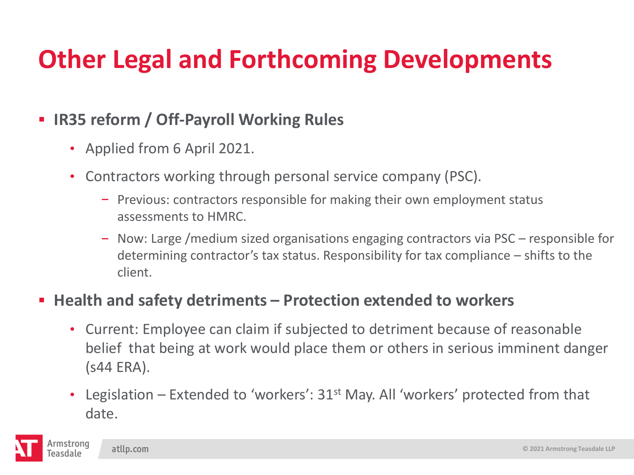#### ▪ **IR35 reform / Off-Payroll Working Rules**

- Applied from 6 April 2021.
- Contractors working through personal service company (PSC).
	- $P$  Previous: contractors responsible for making their own employment status assessments to HMRC.
	- Now: Large /medium sized organisations engaging contractors via PSC responsible for determining contractor's tax status. Responsibility for tax compliance – shifts to the client.

#### ▪ **Health and safety detriments – Protection extended to workers**

- Current: Employee can claim if subjected to detriment because of reasonable belief that being at work would place them or others in serious imminent danger (s44 ERA).
- Legislation Extended to 'workers':  $31<sup>st</sup>$  May. All 'workers' protected from that date.

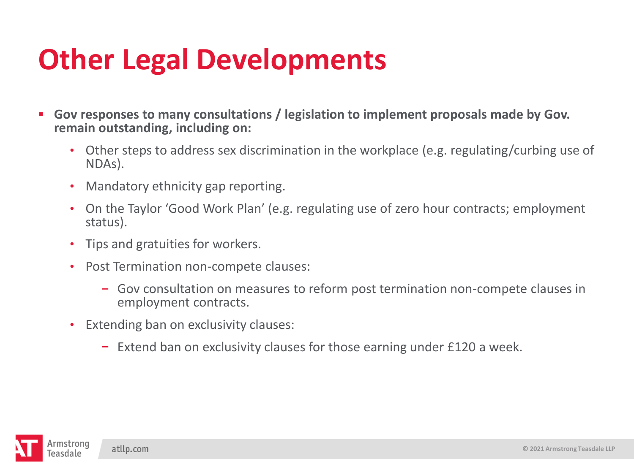## **Other Legal Developments**

- **Gov responses to many consultations / legislation to implement proposals made by Gov. remain outstanding, including on:** 
	- Other steps to address sex discrimination in the workplace (e.g. regulating/curbing use of NDAs).
	- Mandatory ethnicity gap reporting.
	- On the Taylor 'Good Work Plan' (e.g. regulating use of zero hour contracts; employment status).
	- Tips and gratuities for workers.
	- Post Termination non-compete clauses:
		- Gov consultation on measures to reform post termination non-compete clauses in employment contracts.
	- Extending ban on exclusivity clauses:
		- $\overline{z}$  = Extend ban on exclusivity clauses for those earning under £120 a week.

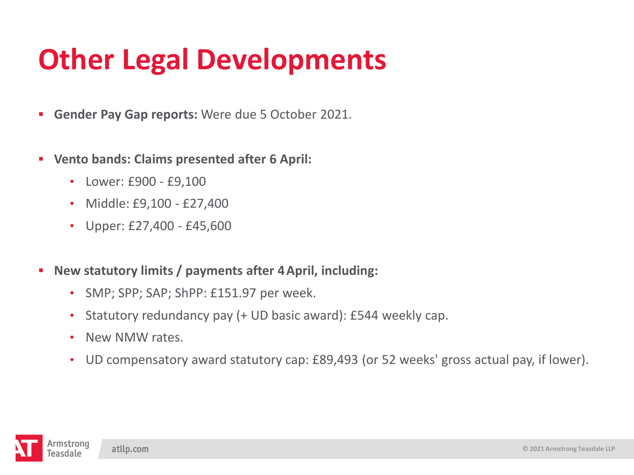## **Other Legal Developments**

- **Gender Pay Gap reports:** Were due 5 October 2021.
- **Vento bands: Claims presented after 6 April:**
	- Lower: £900 £9,100
	- Middle: £9,100 £27,400
	- Upper: £27,400 £45,600
- **New statutory limits / payments after 4April, including:**
	- SMP; SPP; SAP; ShPP: £151.97 per week.
	- Statutory redundancy pay (+ UD basic award): £544 weekly cap.
	- New NMW rates.
	- UD compensatory award statutory cap: £89,493 (or 52 weeks' gross actual pay, if lower).

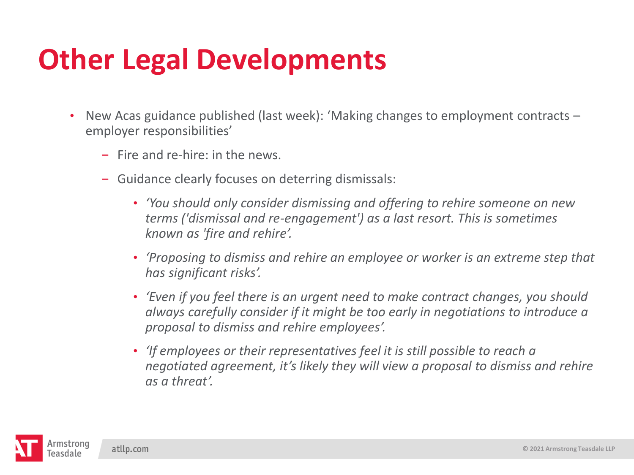## **Other Legal Developments**

- New Acas guidance published (last week): 'Making changes to employment contracts employer responsibilities'
	- $-$  Fire and re-hire: in the news.
	- Guidance clearly focuses on deterring dismissals:
		- *'You should only consider dismissing and offering to rehire someone on new terms ('dismissal and re-engagement') as a last resort. This is sometimes known as 'fire and rehire'.*
		- *'Proposing to dismiss and rehire an employee or worker is an extreme step that has significant risks'.*
		- *'Even if you feel there is an urgent need to make contract changes, you should always carefully consider if it might be too early in negotiations to introduce a proposal to dismiss and rehire employees'.*
		- *'If employees or their representatives feel it is still possible to reach a negotiated agreement, it's likely they will view a proposal to dismiss and rehire as a threat'.*

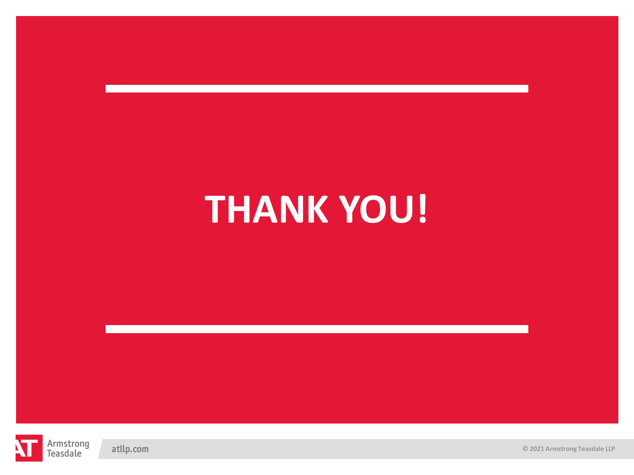# **THANK YOU!**



atllp.com

**© 2021 Armstrong Teasdale LLP**